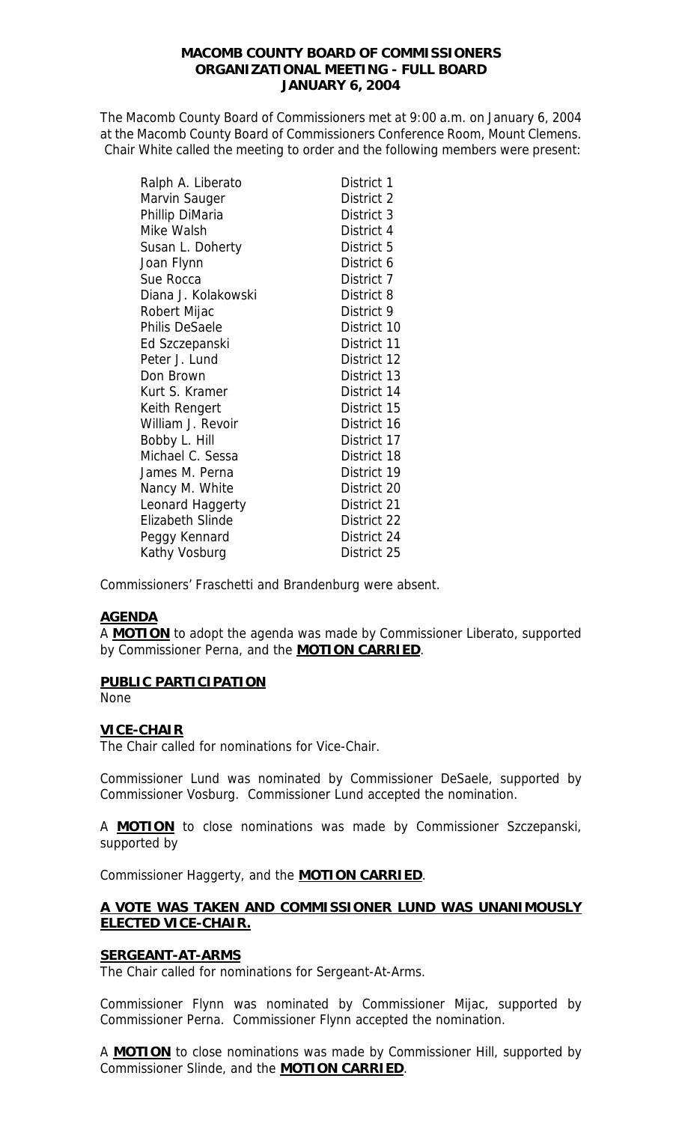### **MACOMB COUNTY BOARD OF COMMISSIONERS ORGANIZATIONAL MEETING - FULL BOARD JANUARY 6, 2004**

The Macomb County Board of Commissioners met at 9:00 a.m. on January 6, 2004 at the Macomb County Board of Commissioners Conference Room, Mount Clemens. Chair White called the meeting to order and the following members were present:

| Ralph A. Liberato     | District 1  |
|-----------------------|-------------|
| Marvin Sauger         | District 2  |
| Phillip DiMaria       | District 3  |
| Mike Walsh            | District 4  |
| Susan L. Doherty      | District 5  |
| Joan Flynn            | District 6  |
| Sue Rocca             | District 7  |
| Diana J. Kolakowski   | District 8  |
| Robert Mijac          | District 9  |
| <b>Philis DeSaele</b> | District 10 |
| Ed Szczepanski        | District 11 |
| Peter J. Lund         | District 12 |
| Don Brown             | District 13 |
| Kurt S. Kramer        | District 14 |
| Keith Rengert         | District 15 |
| William J. Revoir     | District 16 |
| Bobby L. Hill         | District 17 |
| Michael C. Sessa      | District 18 |
| James M. Perna        | District 19 |
| Nancy M. White        | District 20 |
| Leonard Haggerty      | District 21 |
| Elizabeth Slinde      | District 22 |
| Peggy Kennard         | District 24 |
| Kathy Vosburg         | District 25 |

Commissioners' Fraschetti and Brandenburg were absent.

#### **AGENDA**

A **MOTION** to adopt the agenda was made by Commissioner Liberato, supported by Commissioner Perna, and the **MOTION CARRIED**.

#### **PUBLIC PARTICIPATION**

None

## **VICE-CHAIR**

The Chair called for nominations for Vice-Chair.

Commissioner Lund was nominated by Commissioner DeSaele, supported by Commissioner Vosburg. Commissioner Lund accepted the nomination.

A **MOTION** to close nominations was made by Commissioner Szczepanski, supported by

Commissioner Haggerty, and the **MOTION CARRIED**.

## **A VOTE WAS TAKEN AND COMMISSIONER LUND WAS UNANIMOUSLY ELECTED VICE-CHAIR.**

#### **SERGEANT-AT-ARMS**

The Chair called for nominations for Sergeant-At-Arms.

Commissioner Flynn was nominated by Commissioner Mijac, supported by Commissioner Perna. Commissioner Flynn accepted the nomination.

A **MOTION** to close nominations was made by Commissioner Hill, supported by Commissioner Slinde, and the **MOTION CARRIED**.